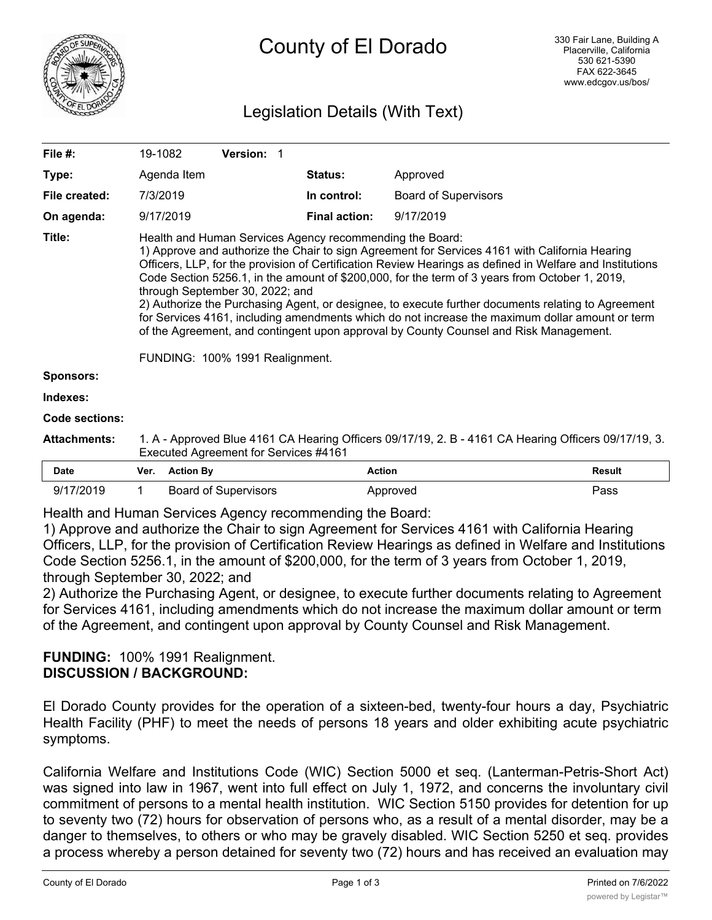

# Legislation Details (With Text)

| File $#$ :          | 19-1082                                                                                                                                                                                                                                                                                                                                                                                                                                                                                                                                                                                                                                                                                                                                          |                  | Version: 1                  |  |                      |                             |               |
|---------------------|--------------------------------------------------------------------------------------------------------------------------------------------------------------------------------------------------------------------------------------------------------------------------------------------------------------------------------------------------------------------------------------------------------------------------------------------------------------------------------------------------------------------------------------------------------------------------------------------------------------------------------------------------------------------------------------------------------------------------------------------------|------------------|-----------------------------|--|----------------------|-----------------------------|---------------|
| Type:               |                                                                                                                                                                                                                                                                                                                                                                                                                                                                                                                                                                                                                                                                                                                                                  | Agenda Item      |                             |  | <b>Status:</b>       | Approved                    |               |
| File created:       |                                                                                                                                                                                                                                                                                                                                                                                                                                                                                                                                                                                                                                                                                                                                                  | 7/3/2019         |                             |  | In control:          | <b>Board of Supervisors</b> |               |
| On agenda:          |                                                                                                                                                                                                                                                                                                                                                                                                                                                                                                                                                                                                                                                                                                                                                  | 9/17/2019        |                             |  | <b>Final action:</b> | 9/17/2019                   |               |
| Title:              | Health and Human Services Agency recommending the Board:<br>1) Approve and authorize the Chair to sign Agreement for Services 4161 with California Hearing<br>Officers, LLP, for the provision of Certification Review Hearings as defined in Welfare and Institutions<br>Code Section 5256.1, in the amount of \$200,000, for the term of 3 years from October 1, 2019,<br>through September 30, 2022; and<br>2) Authorize the Purchasing Agent, or designee, to execute further documents relating to Agreement<br>for Services 4161, including amendments which do not increase the maximum dollar amount or term<br>of the Agreement, and contingent upon approval by County Counsel and Risk Management.<br>FUNDING: 100% 1991 Realignment. |                  |                             |  |                      |                             |               |
| <b>Sponsors:</b>    |                                                                                                                                                                                                                                                                                                                                                                                                                                                                                                                                                                                                                                                                                                                                                  |                  |                             |  |                      |                             |               |
| Indexes:            |                                                                                                                                                                                                                                                                                                                                                                                                                                                                                                                                                                                                                                                                                                                                                  |                  |                             |  |                      |                             |               |
| Code sections:      |                                                                                                                                                                                                                                                                                                                                                                                                                                                                                                                                                                                                                                                                                                                                                  |                  |                             |  |                      |                             |               |
| <b>Attachments:</b> | 1. A - Approved Blue 4161 CA Hearing Officers 09/17/19, 2. B - 4161 CA Hearing Officers 09/17/19, 3.<br>Executed Agreement for Services #4161                                                                                                                                                                                                                                                                                                                                                                                                                                                                                                                                                                                                    |                  |                             |  |                      |                             |               |
| <b>Date</b>         | Ver.                                                                                                                                                                                                                                                                                                                                                                                                                                                                                                                                                                                                                                                                                                                                             | <b>Action By</b> |                             |  | <b>Action</b>        |                             | <b>Result</b> |
| 9/17/2019           | 1                                                                                                                                                                                                                                                                                                                                                                                                                                                                                                                                                                                                                                                                                                                                                |                  | <b>Board of Supervisors</b> |  |                      | Approved                    | Pass          |

Health and Human Services Agency recommending the Board:

1) Approve and authorize the Chair to sign Agreement for Services 4161 with California Hearing Officers, LLP, for the provision of Certification Review Hearings as defined in Welfare and Institutions Code Section 5256.1, in the amount of \$200,000, for the term of 3 years from October 1, 2019, through September 30, 2022; and

2) Authorize the Purchasing Agent, or designee, to execute further documents relating to Agreement for Services 4161, including amendments which do not increase the maximum dollar amount or term of the Agreement, and contingent upon approval by County Counsel and Risk Management.

### **FUNDING:** 100% 1991 Realignment. **DISCUSSION / BACKGROUND:**

El Dorado County provides for the operation of a sixteen-bed, twenty-four hours a day, Psychiatric Health Facility (PHF) to meet the needs of persons 18 years and older exhibiting acute psychiatric symptoms.

California Welfare and Institutions Code (WIC) Section 5000 et seq. (Lanterman-Petris-Short Act) was signed into law in 1967, went into full effect on July 1, 1972, and concerns the involuntary civil commitment of persons to a mental health institution. WIC Section 5150 provides for detention for up to seventy two (72) hours for observation of persons who, as a result of a mental disorder, may be a danger to themselves, to others or who may be gravely disabled. WIC Section 5250 et seq. provides a process whereby a person detained for seventy two (72) hours and has received an evaluation may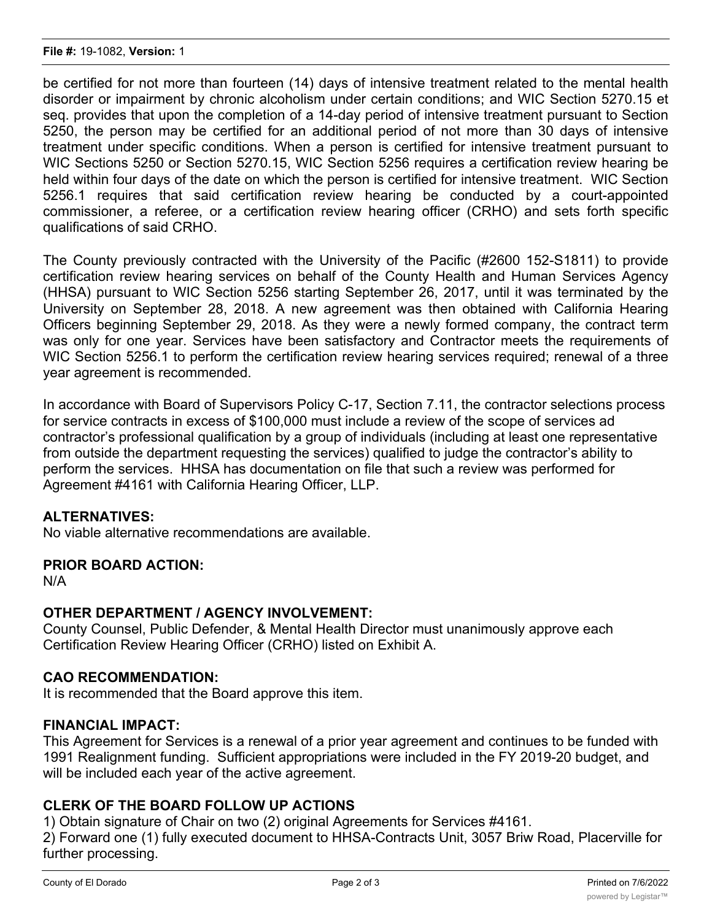be certified for not more than fourteen (14) days of intensive treatment related to the mental health disorder or impairment by chronic alcoholism under certain conditions; and WIC Section 5270.15 et seq. provides that upon the completion of a 14-day period of intensive treatment pursuant to Section 5250, the person may be certified for an additional period of not more than 30 days of intensive treatment under specific conditions. When a person is certified for intensive treatment pursuant to WIC Sections 5250 or Section 5270.15, WIC Section 5256 requires a certification review hearing be held within four days of the date on which the person is certified for intensive treatment. WIC Section 5256.1 requires that said certification review hearing be conducted by a court-appointed commissioner, a referee, or a certification review hearing officer (CRHO) and sets forth specific qualifications of said CRHO.

The County previously contracted with the University of the Pacific (#2600 152-S1811) to provide certification review hearing services on behalf of the County Health and Human Services Agency (HHSA) pursuant to WIC Section 5256 starting September 26, 2017, until it was terminated by the University on September 28, 2018. A new agreement was then obtained with California Hearing Officers beginning September 29, 2018. As they were a newly formed company, the contract term was only for one year. Services have been satisfactory and Contractor meets the requirements of WIC Section 5256.1 to perform the certification review hearing services required; renewal of a three year agreement is recommended.

In accordance with Board of Supervisors Policy C-17, Section 7.11, the contractor selections process for service contracts in excess of \$100,000 must include a review of the scope of services ad contractor's professional qualification by a group of individuals (including at least one representative from outside the department requesting the services) qualified to judge the contractor's ability to perform the services. HHSA has documentation on file that such a review was performed for Agreement #4161 with California Hearing Officer, LLP.

#### **ALTERNATIVES:**

No viable alternative recommendations are available.

#### **PRIOR BOARD ACTION:**

N/A

#### **OTHER DEPARTMENT / AGENCY INVOLVEMENT:**

County Counsel, Public Defender, & Mental Health Director must unanimously approve each Certification Review Hearing Officer (CRHO) listed on Exhibit A.

#### **CAO RECOMMENDATION:**

It is recommended that the Board approve this item.

#### **FINANCIAL IMPACT:**

This Agreement for Services is a renewal of a prior year agreement and continues to be funded with 1991 Realignment funding. Sufficient appropriations were included in the FY 2019-20 budget, and will be included each year of the active agreement.

#### **CLERK OF THE BOARD FOLLOW UP ACTIONS**

1) Obtain signature of Chair on two (2) original Agreements for Services #4161.

2) Forward one (1) fully executed document to HHSA-Contracts Unit, 3057 Briw Road, Placerville for further processing.